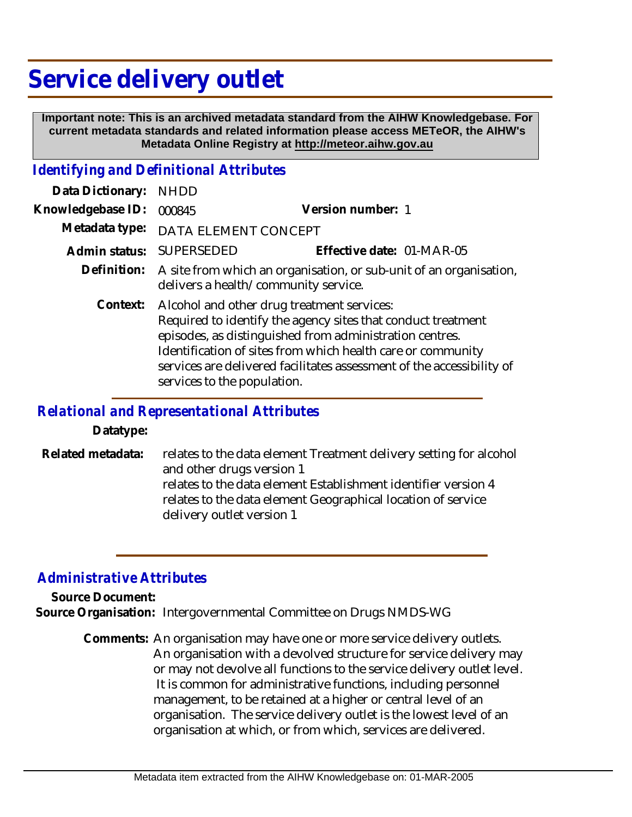## **Service delivery outlet**

 **Important note: This is an archived metadata standard from the AIHW Knowledgebase. For current metadata standards and related information please access METeOR, the AIHW's Metadata Online Registry at http://meteor.aihw.gov.au**

## *Identifying and Definitional Attributes*

| Data Dictionary:  | <b>NHDD</b>                                                                                                                                                                                                                                                                                                                                  |                           |
|-------------------|----------------------------------------------------------------------------------------------------------------------------------------------------------------------------------------------------------------------------------------------------------------------------------------------------------------------------------------------|---------------------------|
| Knowledgebase ID: | 000845                                                                                                                                                                                                                                                                                                                                       | Version number: 1         |
| Metadata type:    | DATA ELEMENT CONCEPT                                                                                                                                                                                                                                                                                                                         |                           |
| Admin status:     | SUPERSEDED                                                                                                                                                                                                                                                                                                                                   | Effective date: 01-MAR-05 |
|                   | Definition: A site from which an organisation, or sub-unit of an organisation,<br>delivers a health/community service.                                                                                                                                                                                                                       |                           |
| Context:          | Alcohol and other drug treatment services:<br>Required to identify the agency sites that conduct treatment<br>episodes, as distinguished from administration centres.<br>Identification of sites from which health care or community<br>services are delivered facilitates assessment of the accessibility of<br>services to the population. |                           |

## *Relational and Representational Attributes*

**Datatype:**

relates to the data element Treatment delivery setting for alcohol and other drugs version 1 relates to the data element Establishment identifier version 4 relates to the data element Geographical location of service delivery outlet version 1 **Related metadata:**

## *Administrative Attributes*

**Source Document:**

**Source Organisation:** Intergovernmental Committee on Drugs NMDS-WG

Comments: An organisation may have one or more service delivery outlets. An organisation with a devolved structure for service delivery may or may not devolve all functions to the service delivery outlet level. It is common for administrative functions, including personnel management, to be retained at a higher or central level of an organisation. The service delivery outlet is the lowest level of an organisation at which, or from which, services are delivered.